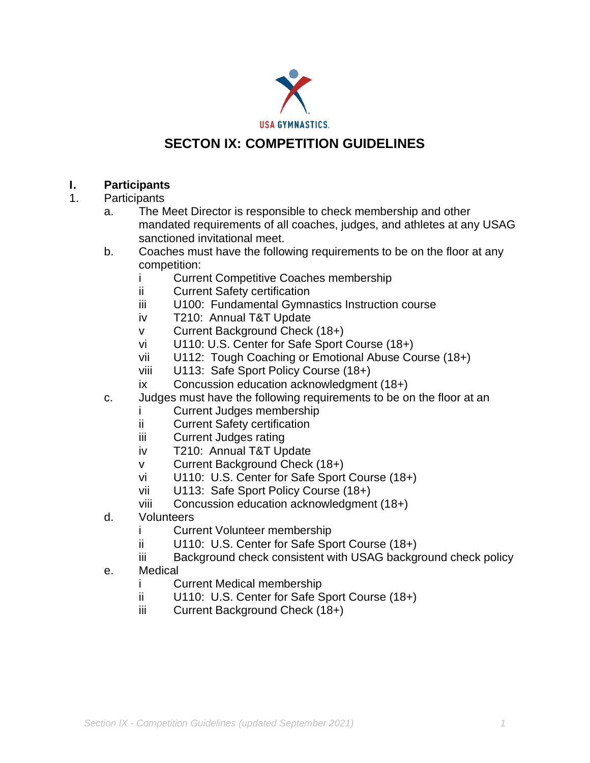

# **SECTON IX: COMPETITION GUIDELINES**

## **I. Participants**

- 1. Participants
	- a. The Meet Director is responsible to check membership and other mandated requirements of all coaches, judges, and athletes at any USAG sanctioned invitational meet.
	- b. Coaches must have the following requirements to be on the floor at any competition:
		- i Current Competitive Coaches membership
		- ii Current Safety certification
		- iii U100: Fundamental Gymnastics Instruction course
		- iv T210: Annual T&T Update
		- v Current Background Check (18+)
		- vi U110: U.S. Center for Safe Sport Course (18+)
		- vii U112: Tough Coaching or Emotional Abuse Course (18+)
		- viii U113: Safe Sport Policy Course (18+)
		- ix Concussion education acknowledgment (18+)
	- c. Judges must have the following requirements to be on the floor at an
		- i Current Judges membership
		- ii Current Safety certification
		- iii Current Judges rating
		- iv T210: Annual T&T Update
		- v Current Background Check (18+)
		- vi U110: U.S. Center for Safe Sport Course (18+)
		- vii U113: Safe Sport Policy Course (18+)
		- viii Concussion education acknowledgment (18+)
	- d. Volunteers
		- i Current Volunteer membership
		- ii U110: U.S. Center for Safe Sport Course (18+)
		- iii Background check consistent with USAG background check policy
	- e. Medical
		- i Current Medical membership
		- ii U110: U.S. Center for Safe Sport Course (18+)
		- iii Current Background Check (18+)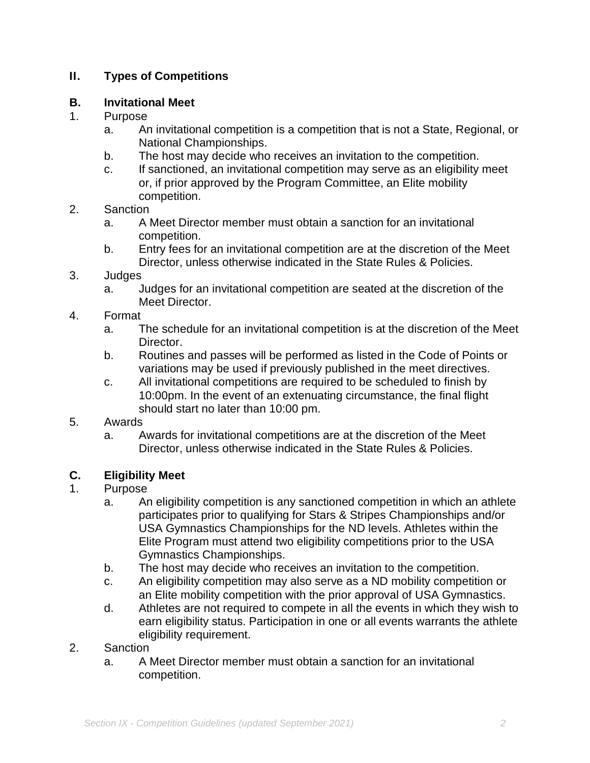## **II. Types of Competitions**

## **B. Invitational Meet**

## 1. Purpose

- a. An invitational competition is a competition that is not a State, Regional, or National Championships.
- b. The host may decide who receives an invitation to the competition.
- c. If sanctioned, an invitational competition may serve as an eligibility meet or, if prior approved by the Program Committee, an Elite mobility competition.

## 2. Sanction

- a. A Meet Director member must obtain a sanction for an invitational competition.
- b. Entry fees for an invitational competition are at the discretion of the Meet Director, unless otherwise indicated in the State Rules & Policies.
- 3. Judges
	- a. Judges for an invitational competition are seated at the discretion of the Meet Director.

## 4. Format

- a. The schedule for an invitational competition is at the discretion of the Meet Director.
- b. Routines and passes will be performed as listed in the Code of Points or variations may be used if previously published in the meet directives.
- c. All invitational competitions are required to be scheduled to finish by 10:00pm. In the event of an extenuating circumstance, the final flight should start no later than 10:00 pm.

#### 5. Awards

a. Awards for invitational competitions are at the discretion of the Meet Director, unless otherwise indicated in the State Rules & Policies.

## **C. Eligibility Meet**

## 1. Purpose

- a. An eligibility competition is any sanctioned competition in which an athlete participates prior to qualifying for Stars & Stripes Championships and/or USA Gymnastics Championships for the ND levels. Athletes within the Elite Program must attend two eligibility competitions prior to the USA Gymnastics Championships.
- b. The host may decide who receives an invitation to the competition.
- c. An eligibility competition may also serve as a ND mobility competition or an Elite mobility competition with the prior approval of USA Gymnastics.
- d. Athletes are not required to compete in all the events in which they wish to earn eligibility status. Participation in one or all events warrants the athlete eligibility requirement.

## 2. Sanction

a. A Meet Director member must obtain a sanction for an invitational competition.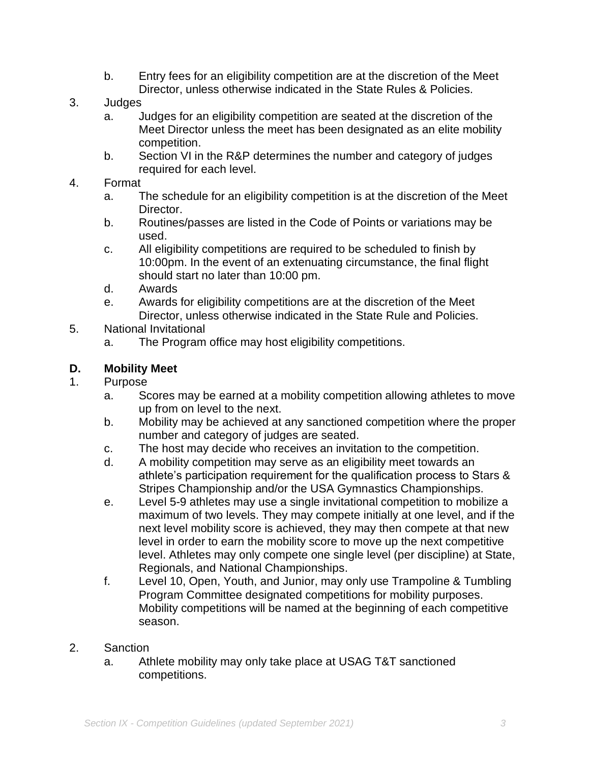- b. Entry fees for an eligibility competition are at the discretion of the Meet Director, unless otherwise indicated in the State Rules & Policies.
- 3. Judges
	- a. Judges for an eligibility competition are seated at the discretion of the Meet Director unless the meet has been designated as an elite mobility competition.
	- b. Section VI in the R&P determines the number and category of judges required for each level.
- 4. Format
	- a. The schedule for an eligibility competition is at the discretion of the Meet Director.
	- b. Routines/passes are listed in the Code of Points or variations may be used.
	- c. All eligibility competitions are required to be scheduled to finish by 10:00pm. In the event of an extenuating circumstance, the final flight should start no later than 10:00 pm.
	- d. Awards
	- e. Awards for eligibility competitions are at the discretion of the Meet Director, unless otherwise indicated in the State Rule and Policies.
- 5. National Invitational
	- a. The Program office may host eligibility competitions.

## **D. Mobility Meet**

### 1. Purpose

- a. Scores may be earned at a mobility competition allowing athletes to move up from on level to the next.
- b. Mobility may be achieved at any sanctioned competition where the proper number and category of judges are seated.
- c. The host may decide who receives an invitation to the competition.
- d. A mobility competition may serve as an eligibility meet towards an athlete's participation requirement for the qualification process to Stars & Stripes Championship and/or the USA Gymnastics Championships.
- e. Level 5-9 athletes may use a single invitational competition to mobilize a maximum of two levels. They may compete initially at one level, and if the next level mobility score is achieved, they may then compete at that new level in order to earn the mobility score to move up the next competitive level. Athletes may only compete one single level (per discipline) at State, Regionals, and National Championships.
- f. Level 10, Open, Youth, and Junior, may only use Trampoline & Tumbling Program Committee designated competitions for mobility purposes. Mobility competitions will be named at the beginning of each competitive season.
- 2. Sanction
	- a. Athlete mobility may only take place at USAG T&T sanctioned competitions.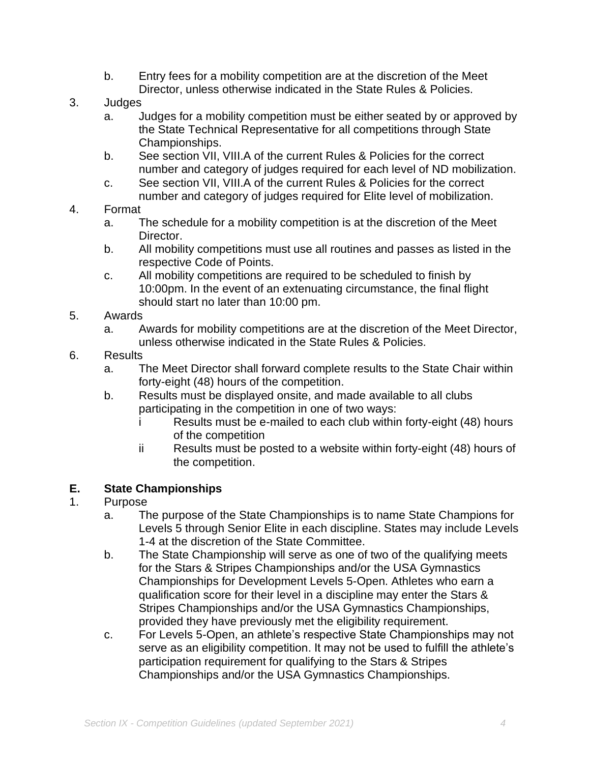- b. Entry fees for a mobility competition are at the discretion of the Meet Director, unless otherwise indicated in the State Rules & Policies.
- 3. Judges
	- a. Judges for a mobility competition must be either seated by or approved by the State Technical Representative for all competitions through State Championships.
	- b. See section VII, VIII.A of the current Rules & Policies for the correct number and category of judges required for each level of ND mobilization.
	- c. See section VII, VIII.A of the current Rules & Policies for the correct number and category of judges required for Elite level of mobilization.

#### 4. Format

- a. The schedule for a mobility competition is at the discretion of the Meet Director.
- b. All mobility competitions must use all routines and passes as listed in the respective Code of Points.
- c. All mobility competitions are required to be scheduled to finish by 10:00pm. In the event of an extenuating circumstance, the final flight should start no later than 10:00 pm.
- 5. Awards
	- a. Awards for mobility competitions are at the discretion of the Meet Director, unless otherwise indicated in the State Rules & Policies.
- 6. Results
	- a. The Meet Director shall forward complete results to the State Chair within forty-eight (48) hours of the competition.
	- b. Results must be displayed onsite, and made available to all clubs participating in the competition in one of two ways:
		- i Results must be e-mailed to each club within forty-eight (48) hours of the competition
		- ii Results must be posted to a website within forty-eight (48) hours of the competition.

## **E. State Championships**

- 1. Purpose
	- a. The purpose of the State Championships is to name State Champions for Levels 5 through Senior Elite in each discipline. States may include Levels 1-4 at the discretion of the State Committee.
	- b. The State Championship will serve as one of two of the qualifying meets for the Stars & Stripes Championships and/or the USA Gymnastics Championships for Development Levels 5-Open. Athletes who earn a qualification score for their level in a discipline may enter the Stars & Stripes Championships and/or the USA Gymnastics Championships, provided they have previously met the eligibility requirement.
	- c. For Levels 5-Open, an athlete's respective State Championships may not serve as an eligibility competition. It may not be used to fulfill the athlete's participation requirement for qualifying to the Stars & Stripes Championships and/or the USA Gymnastics Championships.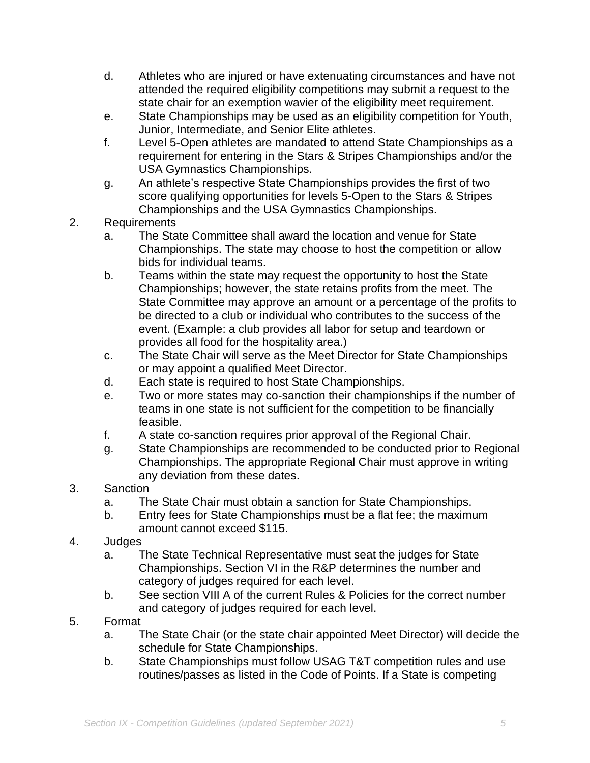- d. Athletes who are injured or have extenuating circumstances and have not attended the required eligibility competitions may submit a request to the state chair for an exemption wavier of the eligibility meet requirement.
- e. State Championships may be used as an eligibility competition for Youth, Junior, Intermediate, and Senior Elite athletes.
- f. Level 5-Open athletes are mandated to attend State Championships as a requirement for entering in the Stars & Stripes Championships and/or the USA Gymnastics Championships.
- g. An athlete's respective State Championships provides the first of two score qualifying opportunities for levels 5-Open to the Stars & Stripes Championships and the USA Gymnastics Championships.

## 2. Requirements

- a. The State Committee shall award the location and venue for State Championships. The state may choose to host the competition or allow bids for individual teams.
- b. Teams within the state may request the opportunity to host the State Championships; however, the state retains profits from the meet. The State Committee may approve an amount or a percentage of the profits to be directed to a club or individual who contributes to the success of the event. (Example: a club provides all labor for setup and teardown or provides all food for the hospitality area.)
- c. The State Chair will serve as the Meet Director for State Championships or may appoint a qualified Meet Director.
- d. Each state is required to host State Championships.
- e. Two or more states may co-sanction their championships if the number of teams in one state is not sufficient for the competition to be financially feasible.
- f. A state co-sanction requires prior approval of the Regional Chair.
- g. State Championships are recommended to be conducted prior to Regional Championships. The appropriate Regional Chair must approve in writing any deviation from these dates.
- 3. Sanction
	- a. The State Chair must obtain a sanction for State Championships.
	- b. Entry fees for State Championships must be a flat fee; the maximum amount cannot exceed \$115.
- 4. Judges
	- a. The State Technical Representative must seat the judges for State Championships. Section VI in the R&P determines the number and category of judges required for each level.
	- b. See section VIII A of the current Rules & Policies for the correct number and category of judges required for each level.
- 5. Format
	- a. The State Chair (or the state chair appointed Meet Director) will decide the schedule for State Championships.
	- b. State Championships must follow USAG T&T competition rules and use routines/passes as listed in the Code of Points. If a State is competing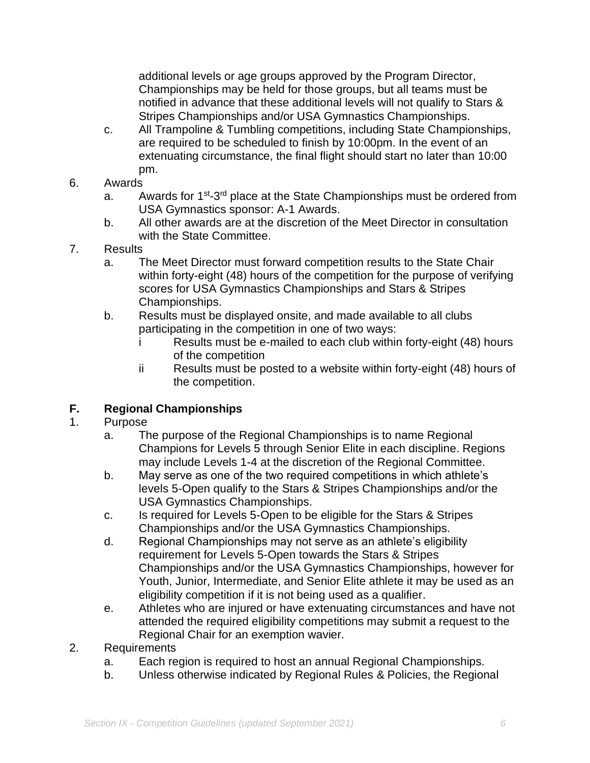additional levels or age groups approved by the Program Director, Championships may be held for those groups, but all teams must be notified in advance that these additional levels will not qualify to Stars & Stripes Championships and/or USA Gymnastics Championships.

- c. All Trampoline & Tumbling competitions, including State Championships, are required to be scheduled to finish by 10:00pm. In the event of an extenuating circumstance, the final flight should start no later than 10:00 pm.
- 6. Awards
	- a. Awards for 1<sup>st</sup>-3<sup>rd</sup> place at the State Championships must be ordered from USA Gymnastics sponsor: A-1 Awards.
	- b. All other awards are at the discretion of the Meet Director in consultation with the State Committee.
- 7. Results
	- a. The Meet Director must forward competition results to the State Chair within forty-eight (48) hours of the competition for the purpose of verifying scores for USA Gymnastics Championships and Stars & Stripes Championships.
	- b. Results must be displayed onsite, and made available to all clubs participating in the competition in one of two ways:
		- i Results must be e-mailed to each club within forty-eight (48) hours of the competition
		- ii Results must be posted to a website within forty-eight (48) hours of the competition.

## **F. Regional Championships**

## 1. Purpose

- a. The purpose of the Regional Championships is to name Regional Champions for Levels 5 through Senior Elite in each discipline. Regions may include Levels 1-4 at the discretion of the Regional Committee.
- b. May serve as one of the two required competitions in which athlete's levels 5-Open qualify to the Stars & Stripes Championships and/or the USA Gymnastics Championships.
- c. Is required for Levels 5-Open to be eligible for the Stars & Stripes Championships and/or the USA Gymnastics Championships.
- d. Regional Championships may not serve as an athlete's eligibility requirement for Levels 5-Open towards the Stars & Stripes Championships and/or the USA Gymnastics Championships, however for Youth, Junior, Intermediate, and Senior Elite athlete it may be used as an eligibility competition if it is not being used as a qualifier.
- e. Athletes who are injured or have extenuating circumstances and have not attended the required eligibility competitions may submit a request to the Regional Chair for an exemption wavier.
- 2. Requirements
	- a. Each region is required to host an annual Regional Championships.
	- b. Unless otherwise indicated by Regional Rules & Policies, the Regional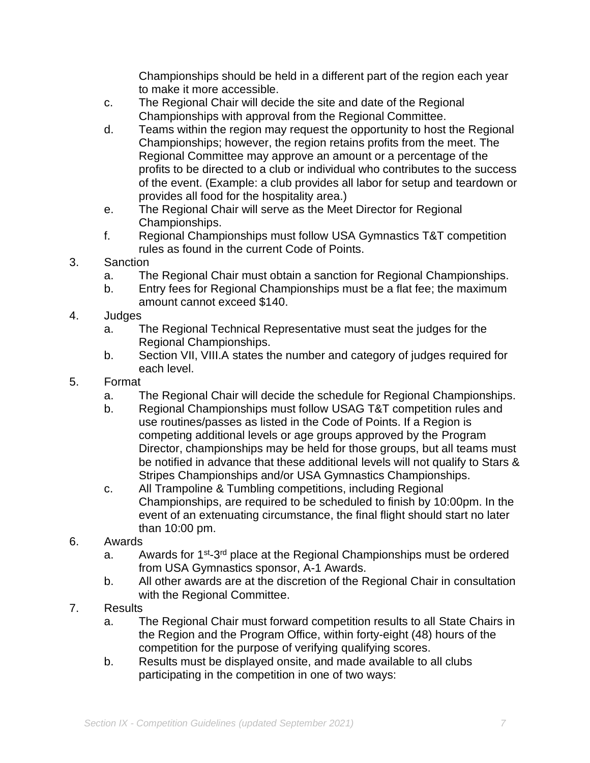Championships should be held in a different part of the region each year to make it more accessible.

- c. The Regional Chair will decide the site and date of the Regional Championships with approval from the Regional Committee.
- d. Teams within the region may request the opportunity to host the Regional Championships; however, the region retains profits from the meet. The Regional Committee may approve an amount or a percentage of the profits to be directed to a club or individual who contributes to the success of the event. (Example: a club provides all labor for setup and teardown or provides all food for the hospitality area.)
- e. The Regional Chair will serve as the Meet Director for Regional Championships.
- f. Regional Championships must follow USA Gymnastics T&T competition rules as found in the current Code of Points.
- 3. Sanction
	- a. The Regional Chair must obtain a sanction for Regional Championships.
	- b. Entry fees for Regional Championships must be a flat fee; the maximum amount cannot exceed \$140.
- 4. Judges
	- a. The Regional Technical Representative must seat the judges for the Regional Championships.
	- b. Section VII, VIII.A states the number and category of judges required for each level.
- 5. Format
	- a. The Regional Chair will decide the schedule for Regional Championships.
	- b. Regional Championships must follow USAG T&T competition rules and use routines/passes as listed in the Code of Points. If a Region is competing additional levels or age groups approved by the Program Director, championships may be held for those groups, but all teams must be notified in advance that these additional levels will not qualify to Stars & Stripes Championships and/or USA Gymnastics Championships.
	- c. All Trampoline & Tumbling competitions, including Regional Championships, are required to be scheduled to finish by 10:00pm. In the event of an extenuating circumstance, the final flight should start no later than 10:00 pm.
- 6. Awards
	- a. Awards for 1<sup>st</sup>-3<sup>rd</sup> place at the Regional Championships must be ordered from USA Gymnastics sponsor, A-1 Awards.
	- b. All other awards are at the discretion of the Regional Chair in consultation with the Regional Committee.
- 7. Results
	- a. The Regional Chair must forward competition results to all State Chairs in the Region and the Program Office, within forty-eight (48) hours of the competition for the purpose of verifying qualifying scores.
	- b. Results must be displayed onsite, and made available to all clubs participating in the competition in one of two ways: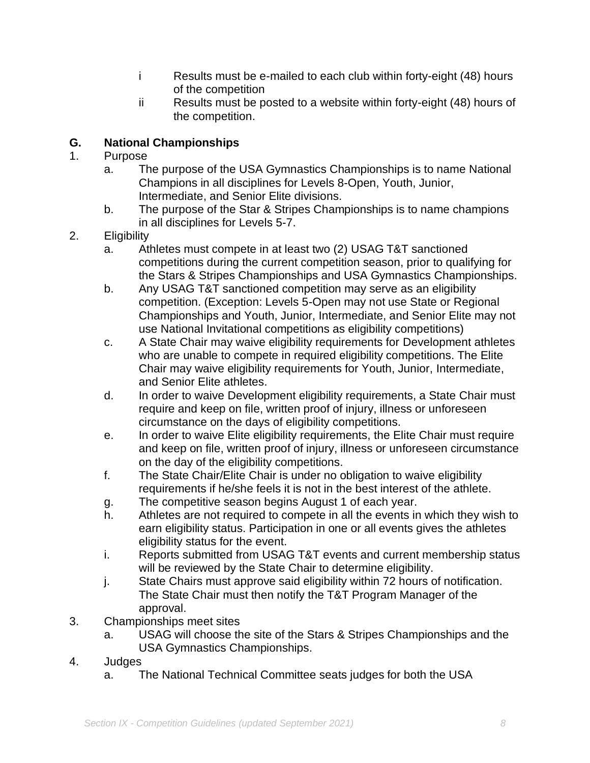- i Results must be e-mailed to each club within forty-eight (48) hours of the competition
- ii Results must be posted to a website within forty-eight (48) hours of the competition.

# **G. National Championships**

## 1. Purpose

- a. The purpose of the USA Gymnastics Championships is to name National Champions in all disciplines for Levels 8-Open, Youth, Junior, Intermediate, and Senior Elite divisions.
- b. The purpose of the Star & Stripes Championships is to name champions in all disciplines for Levels 5-7.
- 2. Eligibility
	- a. Athletes must compete in at least two (2) USAG T&T sanctioned competitions during the current competition season, prior to qualifying for the Stars & Stripes Championships and USA Gymnastics Championships.
	- b. Any USAG T&T sanctioned competition may serve as an eligibility competition. (Exception: Levels 5-Open may not use State or Regional Championships and Youth, Junior, Intermediate, and Senior Elite may not use National Invitational competitions as eligibility competitions)
	- c. A State Chair may waive eligibility requirements for Development athletes who are unable to compete in required eligibility competitions. The Elite Chair may waive eligibility requirements for Youth, Junior, Intermediate, and Senior Elite athletes.
	- d. In order to waive Development eligibility requirements, a State Chair must require and keep on file, written proof of injury, illness or unforeseen circumstance on the days of eligibility competitions.
	- e. In order to waive Elite eligibility requirements, the Elite Chair must require and keep on file, written proof of injury, illness or unforeseen circumstance on the day of the eligibility competitions.
	- f. The State Chair/Elite Chair is under no obligation to waive eligibility requirements if he/she feels it is not in the best interest of the athlete.
	- g. The competitive season begins August 1 of each year.
	- h. Athletes are not required to compete in all the events in which they wish to earn eligibility status. Participation in one or all events gives the athletes eligibility status for the event.
	- i. Reports submitted from USAG T&T events and current membership status will be reviewed by the State Chair to determine eligibility.
	- j. State Chairs must approve said eligibility within 72 hours of notification. The State Chair must then notify the T&T Program Manager of the approval.
- 3. Championships meet sites
	- a. USAG will choose the site of the Stars & Stripes Championships and the USA Gymnastics Championships.
- 4. Judges
	- a. The National Technical Committee seats judges for both the USA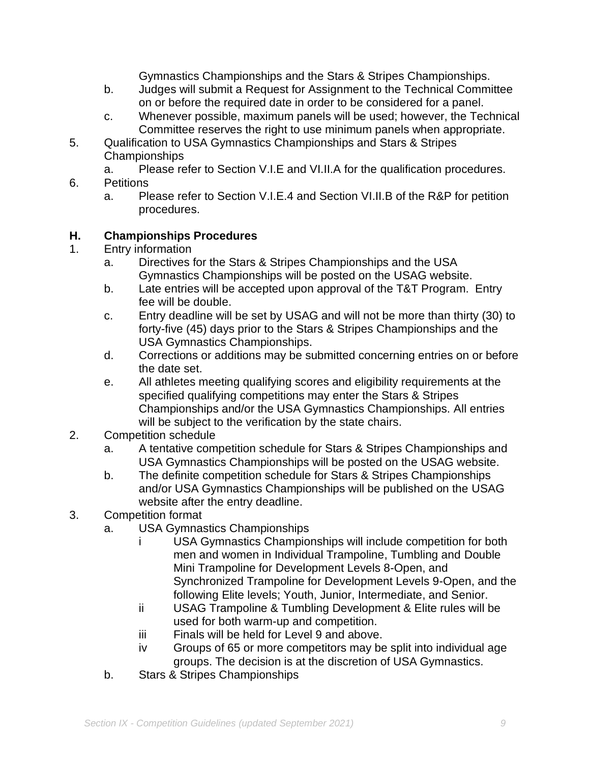Gymnastics Championships and the Stars & Stripes Championships.

- b. Judges will submit a Request for Assignment to the Technical Committee on or before the required date in order to be considered for a panel.
- c. Whenever possible, maximum panels will be used; however, the Technical Committee reserves the right to use minimum panels when appropriate.
- 5. Qualification to USA Gymnastics Championships and Stars & Stripes Championships
	- a. Please refer to Section V.I.E and VI.II.A for the qualification procedures.
- 6. Petitions
	- a. Please refer to Section V.I.E.4 and Section VI.II.B of the R&P for petition procedures.

## **H. Championships Procedures**

- 1. Entry information
	- a. Directives for the Stars & Stripes Championships and the USA Gymnastics Championships will be posted on the USAG website.
	- b. Late entries will be accepted upon approval of the T&T Program. Entry fee will be double.
	- c. Entry deadline will be set by USAG and will not be more than thirty (30) to forty-five (45) days prior to the Stars & Stripes Championships and the USA Gymnastics Championships.
	- d. Corrections or additions may be submitted concerning entries on or before the date set.
	- e. All athletes meeting qualifying scores and eligibility requirements at the specified qualifying competitions may enter the Stars & Stripes Championships and/or the USA Gymnastics Championships. All entries will be subject to the verification by the state chairs.
- 2. Competition schedule
	- a. A tentative competition schedule for Stars & Stripes Championships and USA Gymnastics Championships will be posted on the USAG website.
	- b. The definite competition schedule for Stars & Stripes Championships and/or USA Gymnastics Championships will be published on the USAG website after the entry deadline.
- 3. Competition format
	- a. USA Gymnastics Championships
		- USA Gymnastics Championships will include competition for both men and women in Individual Trampoline, Tumbling and Double Mini Trampoline for Development Levels 8-Open, and Synchronized Trampoline for Development Levels 9-Open, and the following Elite levels; Youth, Junior, Intermediate, and Senior.
		- ii USAG Trampoline & Tumbling Development & Elite rules will be used for both warm-up and competition.
		- iii Finals will be held for Level 9 and above.
		- iv Groups of 65 or more competitors may be split into individual age groups. The decision is at the discretion of USA Gymnastics.
	- b. Stars & Stripes Championships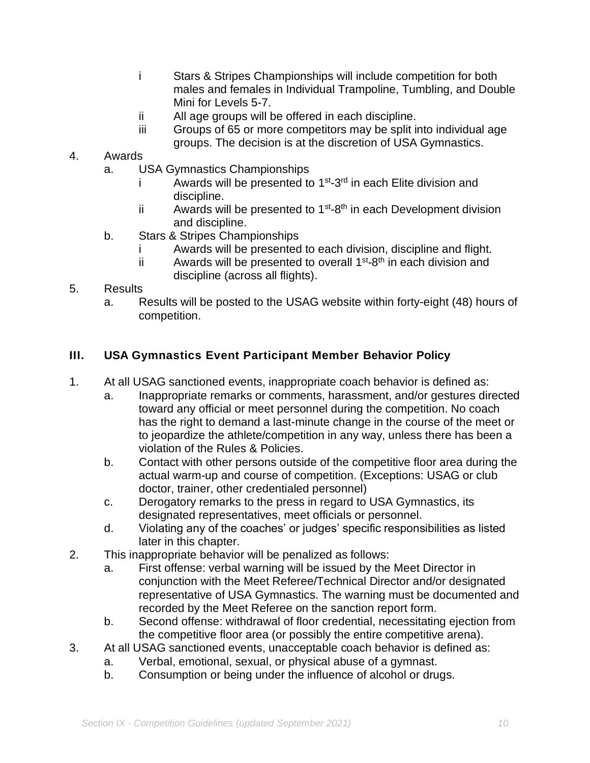- i Stars & Stripes Championships will include competition for both males and females in Individual Trampoline, Tumbling, and Double Mini for Levels 5-7.
- ii All age groups will be offered in each discipline.
- iii Groups of 65 or more competitors may be split into individual age groups. The decision is at the discretion of USA Gymnastics.
- 4. Awards
	- a. USA Gymnastics Championships
		- i Awards will be presented to  $1<sup>st</sup> 3<sup>rd</sup>$  in each Elite division and discipline.
		- ii Awards will be presented to  $1^{st}$ -8<sup>th</sup> in each Development division and discipline.
	- b. Stars & Stripes Championships
		- Awards will be presented to each division, discipline and flight.
		- ii Awards will be presented to overall  $1^{st}$ -8<sup>th</sup> in each division and discipline (across all flights).

## 5. Results

a. Results will be posted to the USAG website within forty-eight (48) hours of competition.

## **III. USA Gymnastics Event Participant Member Behavior Policy**

- 1. At all USAG sanctioned events, inappropriate coach behavior is defined as:
	- a. Inappropriate remarks or comments, harassment, and/or gestures directed toward any official or meet personnel during the competition. No coach has the right to demand a last-minute change in the course of the meet or to jeopardize the athlete/competition in any way, unless there has been a violation of the Rules & Policies.
	- b. Contact with other persons outside of the competitive floor area during the actual warm-up and course of competition. (Exceptions: USAG or club doctor, trainer, other credentialed personnel)
	- c. Derogatory remarks to the press in regard to USA Gymnastics, its designated representatives, meet officials or personnel.
	- d. Violating any of the coaches' or judges' specific responsibilities as listed later in this chapter.
- 2. This inappropriate behavior will be penalized as follows:
	- a. First offense: verbal warning will be issued by the Meet Director in conjunction with the Meet Referee/Technical Director and/or designated representative of USA Gymnastics. The warning must be documented and recorded by the Meet Referee on the sanction report form.
	- b. Second offense: withdrawal of floor credential, necessitating ejection from the competitive floor area (or possibly the entire competitive arena).
- 3. At all USAG sanctioned events, unacceptable coach behavior is defined as:
	- a. Verbal, emotional, sexual, or physical abuse of a gymnast.
	- b. Consumption or being under the influence of alcohol or drugs.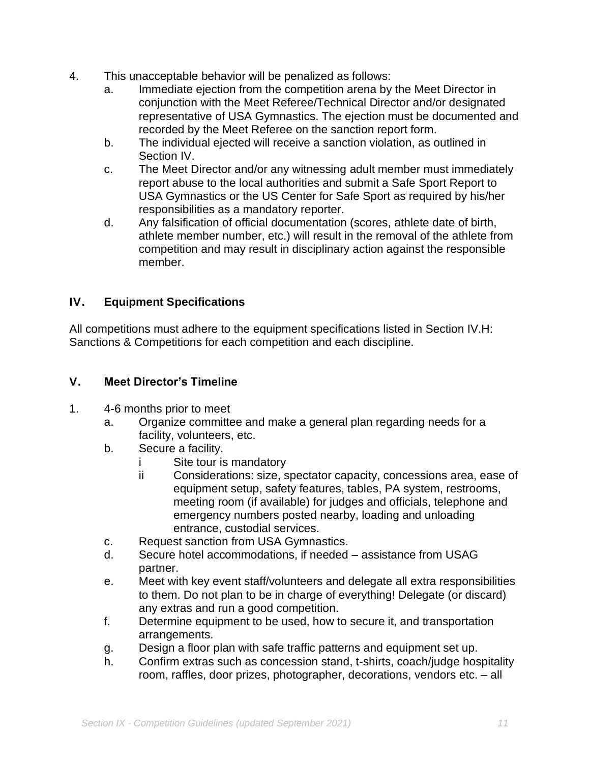- 4. This unacceptable behavior will be penalized as follows:
	- a. Immediate ejection from the competition arena by the Meet Director in conjunction with the Meet Referee/Technical Director and/or designated representative of USA Gymnastics. The ejection must be documented and recorded by the Meet Referee on the sanction report form.
	- b. The individual ejected will receive a sanction violation, as outlined in Section IV.
	- c. The Meet Director and/or any witnessing adult member must immediately report abuse to the local authorities and submit a Safe Sport Report to USA Gymnastics or the US Center for Safe Sport as required by his/her responsibilities as a mandatory reporter.
	- d. Any falsification of official documentation (scores, athlete date of birth, athlete member number, etc.) will result in the removal of the athlete from competition and may result in disciplinary action against the responsible member.

## **IV. Equipment Specifications**

All competitions must adhere to the equipment specifications listed in Section IV.H: Sanctions & Competitions for each competition and each discipline.

#### **V. Meet Director's Timeline**

- 1. 4-6 months prior to meet
	- a. Organize committee and make a general plan regarding needs for a facility, volunteers, etc.
	- b. Secure a facility.
		- i Site tour is mandatory
		- ii Considerations: size, spectator capacity, concessions area, ease of equipment setup, safety features, tables, PA system, restrooms, meeting room (if available) for judges and officials, telephone and emergency numbers posted nearby, loading and unloading entrance, custodial services.
	- c. Request sanction from USA Gymnastics.
	- d. Secure hotel accommodations, if needed assistance from USAG partner.
	- e. Meet with key event staff/volunteers and delegate all extra responsibilities to them. Do not plan to be in charge of everything! Delegate (or discard) any extras and run a good competition.
	- f. Determine equipment to be used, how to secure it, and transportation arrangements.
	- g. Design a floor plan with safe traffic patterns and equipment set up.
	- h. Confirm extras such as concession stand, t-shirts, coach/judge hospitality room, raffles, door prizes, photographer, decorations, vendors etc. – all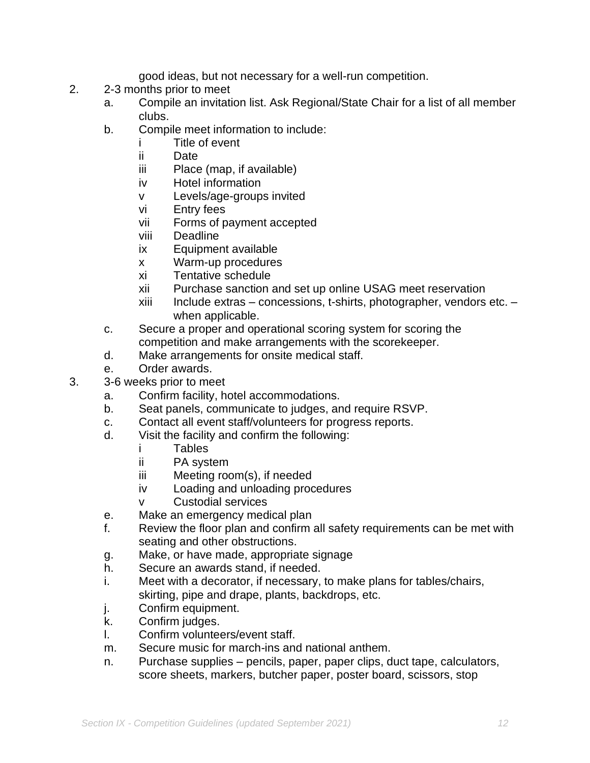good ideas, but not necessary for a well-run competition.

- 2. 2-3 months prior to meet
	- a. Compile an invitation list. Ask Regional/State Chair for a list of all member clubs.
	- b. Compile meet information to include:
		- i Title of event
		- ii Date
		- iii Place (map, if available)
		- iv Hotel information
		- v Levels/age-groups invited
		- vi Entry fees
		- vii Forms of payment accepted
		- viii Deadline
		- ix Equipment available
		- x Warm-up procedures
		- xi Tentative schedule
		- xii Purchase sanction and set up online USAG meet reservation
		- xiii Include extras concessions, t-shirts, photographer, vendors etc. when applicable.
	- c. Secure a proper and operational scoring system for scoring the competition and make arrangements with the scorekeeper.
	- d. Make arrangements for onsite medical staff.
	- e. Order awards.
- 3. 3-6 weeks prior to meet
	- a. Confirm facility, hotel accommodations.
	- b. Seat panels, communicate to judges, and require RSVP.
	- c. Contact all event staff/volunteers for progress reports.
	- d. Visit the facility and confirm the following:
		- i Tables
		- ii PA system
		- iii Meeting room(s), if needed
		- iv Loading and unloading procedures
		- v Custodial services
	- e. Make an emergency medical plan
	- f. Review the floor plan and confirm all safety requirements can be met with seating and other obstructions.
	- g. Make, or have made, appropriate signage
	- h. Secure an awards stand, if needed.
	- i. Meet with a decorator, if necessary, to make plans for tables/chairs, skirting, pipe and drape, plants, backdrops, etc.
	- j. Confirm equipment.
	- k. Confirm judges.
	- l. Confirm volunteers/event staff.
	- m. Secure music for march-ins and national anthem.
	- n. Purchase supplies pencils, paper, paper clips, duct tape, calculators, score sheets, markers, butcher paper, poster board, scissors, stop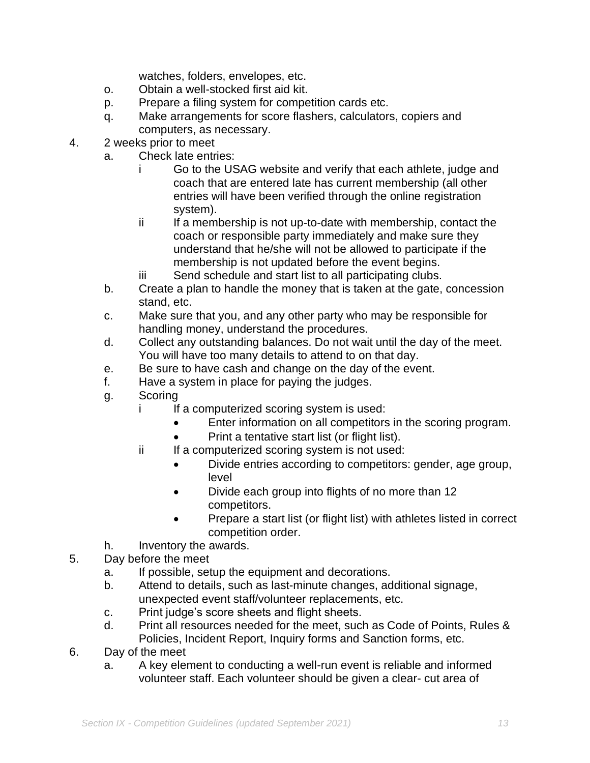watches, folders, envelopes, etc.

- o. Obtain a well-stocked first aid kit.
- p. Prepare a filing system for competition cards etc.
- q. Make arrangements for score flashers, calculators, copiers and computers, as necessary.
- 4. 2 weeks prior to meet
	- a. Check late entries:
		- i Go to the USAG website and verify that each athlete, judge and coach that are entered late has current membership (all other entries will have been verified through the online registration system).
		- ii If a membership is not up-to-date with membership, contact the coach or responsible party immediately and make sure they understand that he/she will not be allowed to participate if the membership is not updated before the event begins.
		- iii Send schedule and start list to all participating clubs.
	- b. Create a plan to handle the money that is taken at the gate, concession stand, etc.
	- c. Make sure that you, and any other party who may be responsible for handling money, understand the procedures.
	- d. Collect any outstanding balances. Do not wait until the day of the meet. You will have too many details to attend to on that day.
	- e. Be sure to have cash and change on the day of the event.
	- f. Have a system in place for paying the judges.
	- g. Scoring
		- i If a computerized scoring system is used:
			- Enter information on all competitors in the scoring program.
			- Print a tentative start list (or flight list).
		- ii If a computerized scoring system is not used:
			- Divide entries according to competitors: gender, age group, level
			- Divide each group into flights of no more than 12 competitors.
			- Prepare a start list (or flight list) with athletes listed in correct competition order.
	- h. Inventory the awards.
- 5. Day before the meet
	- a. If possible, setup the equipment and decorations.
	- b. Attend to details, such as last-minute changes, additional signage, unexpected event staff/volunteer replacements, etc.
	- c. Print judge's score sheets and flight sheets.
	- d. Print all resources needed for the meet, such as Code of Points, Rules & Policies, Incident Report, Inquiry forms and Sanction forms, etc.
- 6. Day of the meet
	- a. A key element to conducting a well-run event is reliable and informed volunteer staff. Each volunteer should be given a clear- cut area of